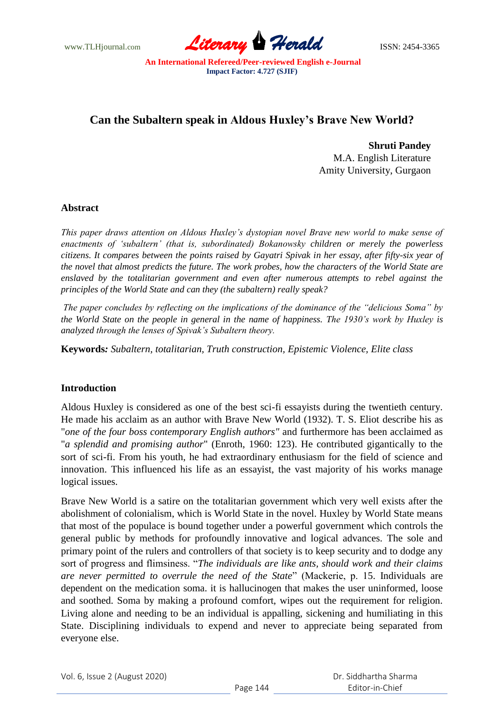www.TLHjournal.com **Literary Herald Herald ISSN: 2454-3365** 

# **Can the Subaltern speak in Aldous Huxley's Brave New World?**

**Shruti Pandey** M.A. English Literature Amity University, Gurgaon

### **Abstract**

*This paper draws attention on Aldous Huxley"s dystopian novel Brave new world to make sense of enactments of "subaltern" (that is, subordinated) Bokanowsky children or merely the powerless citizens. It compares between the points raised by Gayatri Spivak in her essay, after fifty-six year of the novel that almost predicts the future. The work probes, how the characters of the World State are enslaved by the totalitarian government and even after numerous attempts to rebel against the principles of the World State and can they (the subaltern) really speak?*

*The paper concludes by reflecting on the implications of the dominance of the "delicious Soma" by the World State on the people in general in the name of happiness. The 1930"s work by Huxley is analyzed through the lenses of Spivak"s Subaltern theory.*

**Keywords***: Subaltern, totalitarian, Truth construction, Epistemic Violence, Elite class*

# **Introduction**

Aldous Huxley is considered as one of the best sci-fi essayists during the twentieth century. He made his acclaim as an author with Brave New World (1932). T. S. Eliot describe his as "*one of the four boss contemporary English authors"* and furthermore has been acclaimed as "*a splendid and promising author*" (Enroth, 1960: 123). He contributed gigantically to the sort of sci-fi. From his youth, he had extraordinary enthusiasm for the field of science and innovation. This influenced his life as an essayist, the vast majority of his works manage logical issues.

Brave New World is a satire on the totalitarian government which very well exists after the abolishment of colonialism, which is World State in the novel. Huxley by World State means that most of the populace is bound together under a powerful government which controls the general public by methods for profoundly innovative and logical advances. The sole and primary point of the rulers and controllers of that society is to keep security and to dodge any sort of progress and flimsiness. "*The individuals are like ants, should work and their claims are never permitted to overrule the need of the State*" (Mackerie, p. 15. Individuals are dependent on the medication soma. it is hallucinogen that makes the user uninformed, loose and soothed. Soma by making a profound comfort, wipes out the requirement for religion. Living alone and needing to be an individual is appalling, sickening and humiliating in this State. Disciplining individuals to expend and never to appreciate being separated from everyone else.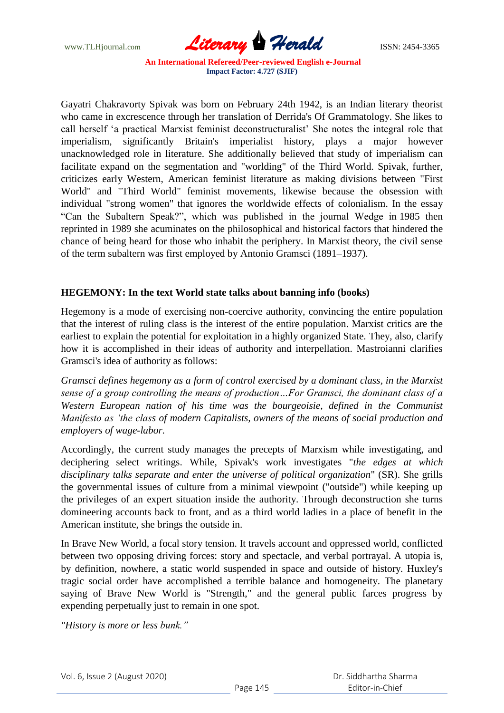

Gayatri Chakravorty Spivak was born on February 24th 1942, is an Indian literary theorist who came in excrescence through her translation of Derrida's Of Grammatology. She likes to call herself "a practical Marxist feminist deconstructuralist" She notes the integral role that imperialism, significantly Britain's imperialist history, plays a major however unacknowledged role in literature. She additionally believed that study of imperialism can facilitate expand on the segmentation and "worlding" of the Third World. Spivak, further, criticizes early Western, American feminist literature as making divisions between "First World" and "Third World" feminist movements, likewise because the obsession with individual "strong women" that ignores the worldwide effects of colonialism. In the essay "Can the Subaltern Speak?", which was published in the journal Wedge in 1985 then reprinted in 1989 she acuminates on the philosophical and historical factors that hindered the chance of being heard for those who inhabit the periphery. In Marxist theory, the civil sense of the term subaltern was first employed by Antonio Gramsci (1891–1937).

### **HEGEMONY: In the text World state talks about banning info (books)**

Hegemony is a mode of exercising non-coercive authority, convincing the entire population that the interest of ruling class is the interest of the entire population. Marxist critics are the earliest to explain the potential for exploitation in a highly organized State. They, also, clarify how it is accomplished in their ideas of authority and interpellation. Mastroianni clarifies Gramsci's idea of authority as follows:

*Gramsci defines hegemony as a form of control exercised by a dominant class, in the Marxist sense of a group controlling the means of production…For Gramsci, the dominant class of a Western European nation of his time was the bourgeoisie, defined in the Communist Manifesto as "the class of modern Capitalists, owners of the means of social production and employers of wage-labor.*

Accordingly, the current study manages the precepts of Marxism while investigating, and deciphering select writings. While, Spivak's work investigates "*the edges at which disciplinary talks separate and enter the universe of political organization*" (SR). She grills the governmental issues of culture from a minimal viewpoint ("outside") while keeping up the privileges of an expert situation inside the authority. Through deconstruction she turns domineering accounts back to front, and as a third world ladies in a place of benefit in the American institute, she brings the outside in.

In Brave New World, a focal story tension. It travels account and oppressed world, conflicted between two opposing driving forces: story and spectacle, and verbal portrayal. A utopia is, by definition, nowhere, a static world suspended in space and outside of history. Huxley's tragic social order have accomplished a terrible balance and homogeneity. The planetary saying of Brave New World is "Strength," and the general public farces progress by expending perpetually just to remain in one spot.

*"History is more or less bunk."*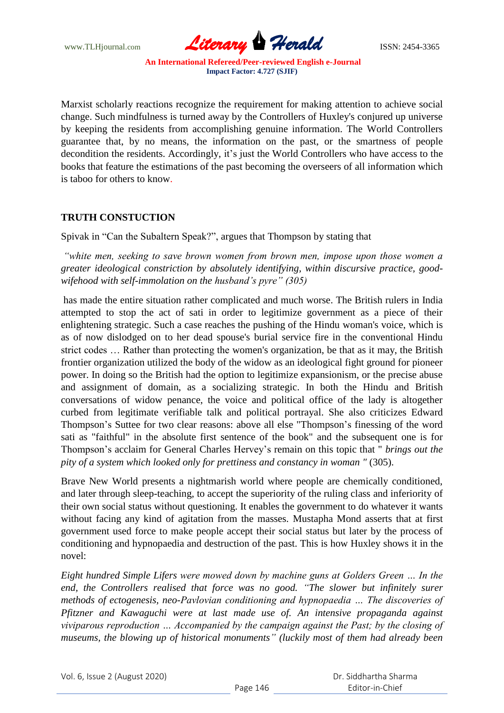www.TLHjournal.com **Literary Herald Herald** ISSN: 2454-3365

Marxist scholarly reactions recognize the requirement for making attention to achieve social change. Such mindfulness is turned away by the Controllers of Huxley's conjured up universe by keeping the residents from accomplishing genuine information. The World Controllers guarantee that, by no means, the information on the past, or the smartness of people decondition the residents. Accordingly, it's just the World Controllers who have access to the books that feature the estimations of the past becoming the overseers of all information which is taboo for others to know.

# **TRUTH CONSTUCTION**

Spivak in "Can the Subaltern Speak?", argues that Thompson by stating that

*"white men, seeking to save brown women from brown men, impose upon those women a greater ideological constriction by absolutely identifying, within discursive practice, goodwifehood with self-immolation on the husband"s pyre" (305)*

has made the entire situation rather complicated and much worse. The British rulers in India attempted to stop the act of sati in order to legitimize government as a piece of their enlightening strategic. Such a case reaches the pushing of the Hindu woman's voice, which is as of now dislodged on to her dead spouse's burial service fire in the conventional Hindu strict codes … Rather than protecting the women's organization, be that as it may, the British frontier organization utilized the body of the widow as an ideological fight ground for pioneer power. In doing so the British had the option to legitimize expansionism, or the precise abuse and assignment of domain, as a socializing strategic. In both the Hindu and British conversations of widow penance, the voice and political office of the lady is altogether curbed from legitimate verifiable talk and political portrayal. She also criticizes Edward Thompson"s Suttee for two clear reasons: above all else "Thompson"s finessing of the word sati as "faithful" in the absolute first sentence of the book" and the subsequent one is for Thompson"s acclaim for General Charles Hervey"s remain on this topic that " *brings out the pity of a system which looked only for prettiness and constancy in woman "* (305).

Brave New World presents a nightmarish world where people are chemically conditioned, and later through sleep-teaching, to accept the superiority of the ruling class and inferiority of their own social status without questioning. It enables the government to do whatever it wants without facing any kind of agitation from the masses. Mustapha Mond asserts that at first government used force to make people accept their social status but later by the process of conditioning and hypnopaedia and destruction of the past. This is how Huxley shows it in the novel:

*Eight hundred Simple Lifers were mowed down by machine guns at Golders Green … In the*  end, the Controllers realised that force was no good. "The slower but infinitely surer *methods of ectogenesis, neo-Pavlovian conditioning and hypnopaedia … The discoveries of Pfitzner and Kawaguchi were at last made use of. An intensive propaganda against viviparous reproduction … Accompanied by the campaign against the Past; by the closing of museums, the blowing up of historical monuments" (luckily most of them had already been*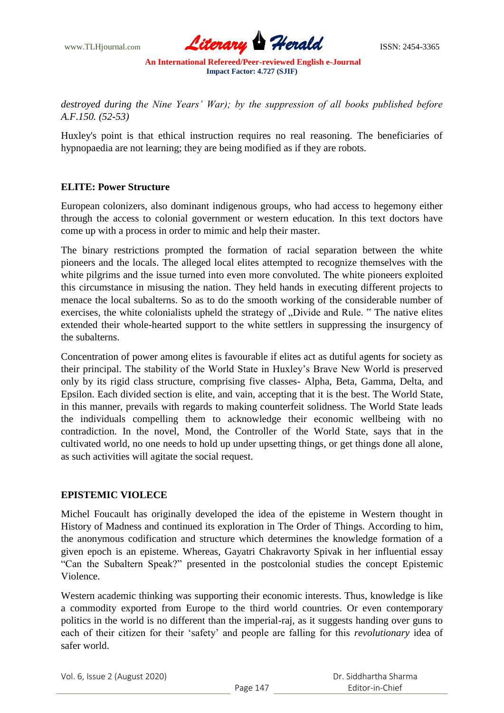

*destroyed during the Nine Years" War); by the suppression of all books published before A.F.150. (52-53)*

Huxley's point is that ethical instruction requires no real reasoning. The beneficiaries of hypnopaedia are not learning; they are being modified as if they are robots.

### **ELITE: Power Structure**

European colonizers, also dominant indigenous groups, who had access to hegemony either through the access to colonial government or western education. In this text doctors have come up with a process in order to mimic and help their master.

The binary restrictions prompted the formation of racial separation between the white pioneers and the locals. The alleged local elites attempted to recognize themselves with the white pilgrims and the issue turned into even more convoluted. The white pioneers exploited this circumstance in misusing the nation. They held hands in executing different projects to menace the local subalterns. So as to do the smooth working of the considerable number of exercises, the white colonialists upheld the strategy of "Divide and Rule. " The native elites extended their whole-hearted support to the white settlers in suppressing the insurgency of the subalterns.

Concentration of power among elites is favourable if elites act as dutiful agents for society as their principal. The stability of the World State in Huxley"s Brave New World is preserved only by its rigid class structure, comprising five classes- Alpha, Beta, Gamma, Delta, and Epsilon. Each divided section is elite, and vain, accepting that it is the best. The World State, in this manner, prevails with regards to making counterfeit solidness. The World State leads the individuals compelling them to acknowledge their economic wellbeing with no contradiction. In the novel, Mond, the Controller of the World State, says that in the cultivated world, no one needs to hold up under upsetting things, or get things done all alone, as such activities will agitate the social request.

# **EPISTEMIC VIOLECE**

Michel Foucault has originally developed the idea of the episteme in Western thought in History of Madness and continued its exploration in The Order of Things. According to him, the anonymous codification and structure which determines the knowledge formation of a given epoch is an episteme. Whereas, Gayatri Chakravorty Spivak in her influential essay "Can the Subaltern Speak?" presented in the postcolonial studies the concept Epistemic Violence.

Western academic thinking was supporting their economic interests. Thus, knowledge is like a commodity exported from Europe to the third world countries. Or even contemporary politics in the world is no different than the imperial-raj, as it suggests handing over guns to each of their citizen for their "safety" and people are falling for this *revolutionary* idea of safer world.

Vol. 6, Issue 2 (August 2020)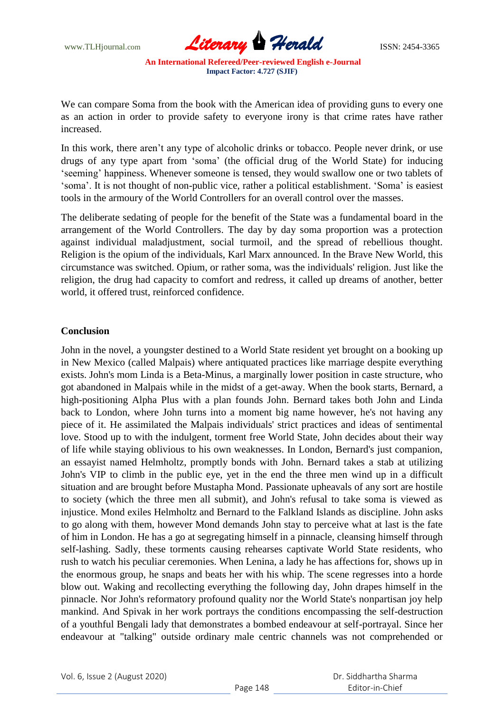

We can compare Soma from the book with the American idea of providing guns to every one as an action in order to provide safety to everyone irony is that crime rates have rather increased.

In this work, there aren't any type of alcoholic drinks or tobacco. People never drink, or use drugs of any type apart from "soma" (the official drug of the World State) for inducing 'seeming' happiness. Whenever someone is tensed, they would swallow one or two tablets of "soma". It is not thought of non-public vice, rather a political establishment. "Soma" is easiest tools in the armoury of the World Controllers for an overall control over the masses.

The deliberate sedating of people for the benefit of the State was a fundamental board in the arrangement of the World Controllers. The day by day soma proportion was a protection against individual maladjustment, social turmoil, and the spread of rebellious thought. Religion is the opium of the individuals, Karl Marx announced. In the Brave New World, this circumstance was switched. Opium, or rather soma, was the individuals' religion. Just like the religion, the drug had capacity to comfort and redress, it called up dreams of another, better world, it offered trust, reinforced confidence.

#### **Conclusion**

John in the novel, a youngster destined to a World State resident yet brought on a booking up in New Mexico (called Malpais) where antiquated practices like marriage despite everything exists. John's mom Linda is a Beta-Minus, a marginally lower position in caste structure, who got abandoned in Malpais while in the midst of a get-away. When the book starts, Bernard, a high-positioning Alpha Plus with a plan founds John. Bernard takes both John and Linda back to London, where John turns into a moment big name however, he's not having any piece of it. He assimilated the Malpais individuals' strict practices and ideas of sentimental love. Stood up to with the indulgent, torment free World State, John decides about their way of life while staying oblivious to his own weaknesses. In London, Bernard's just companion, an essayist named Helmholtz, promptly bonds with John. Bernard takes a stab at utilizing John's VIP to climb in the public eye, yet in the end the three men wind up in a difficult situation and are brought before Mustapha Mond. Passionate upheavals of any sort are hostile to society (which the three men all submit), and John's refusal to take soma is viewed as injustice. Mond exiles Helmholtz and Bernard to the Falkland Islands as discipline. John asks to go along with them, however Mond demands John stay to perceive what at last is the fate of him in London. He has a go at segregating himself in a pinnacle, cleansing himself through self-lashing. Sadly, these torments causing rehearses captivate World State residents, who rush to watch his peculiar ceremonies. When Lenina, a lady he has affections for, shows up in the enormous group, he snaps and beats her with his whip. The scene regresses into a horde blow out. Waking and recollecting everything the following day, John drapes himself in the pinnacle. Nor John's reformatory profound quality nor the World State's nonpartisan joy help mankind. And Spivak in her work portrays the conditions encompassing the self-destruction of a youthful Bengali lady that demonstrates a bombed endeavour at self-portrayal. Since her endeavour at "talking" outside ordinary male centric channels was not comprehended or